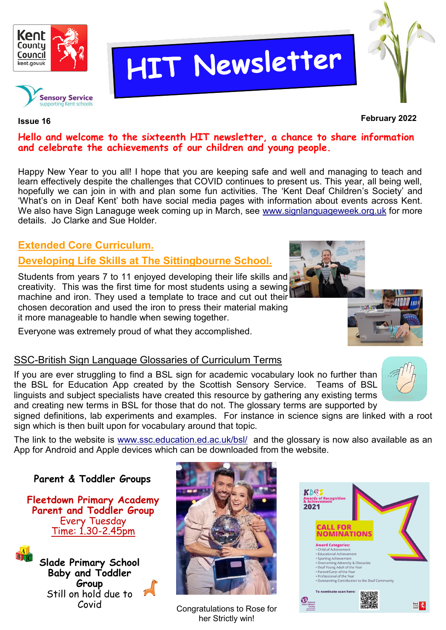

**Sensory Service** 

# HIT Newsletter



**February 2022 Issue 16**

#### **Hello and welcome to the sixteenth HIT newsletter, a chance to share information and celebrate the achievements of our children and young people.**

Happy New Year to you all! I hope that you are keeping safe and well and managing to teach and learn effectively despite the challenges that COVID continues to present us. This year, all being well, hopefully we can join in with and plan some fun activities. The 'Kent Deaf Children's Society' and 'What's on in Deaf Kent' both have social media pages with information about events across Kent. We also have Sign Lanaguge week coming up in March, see [www.signlanguageweek.org.uk](http://www.signlanguageweek.org.uk) for more details. Jo Clarke and Sue Holder.

# **Extended Core Curriculum.**

## **Developing Life Skills at The Sittingbourne School.**

Students from years 7 to 11 enjoyed developing their life skills and creativity. This was the first time for most students using a sewing machine and iron. They used a template to trace and cut out their chosen decoration and used the iron to press their material making it more manageable to handle when sewing together.

Everyone was extremely proud of what they accomplished.

#### SSC-British Sign Language Glossaries of Curriculum Terms

If you are ever struggling to find a BSL sign for academic vocabulary look no further than the BSL for Education App created by the Scottish Sensory Service. Teams of BSL linguists and subject specialists have created this resource by gathering any existing terms and creating new terms in BSL for those that do not. The glossary terms are supported by

signed definitions, lab experiments and examples. For instance in science signs are linked with a root sign which is then built upon for vocabulary around that topic.

The link to the website is [www.ssc.education.ed.ac.uk/bsl/](http://www.ssc.education.ed.ac.uk/bsl/) and the glossary is now also available as an App for Android and Apple devices which can be downloaded from the website.

#### **Parent & Toddler Groups**

**Fleetdown Primary Academy Parent and Toddler Group** Every Tuesday  $Time: 1.30 - 2.45$ <sub>pm</sub>



**Slade Primary School Baby and Toddler Group** Still on hold due to 1 Covid



Congratulations to Rose for her Strictly win!